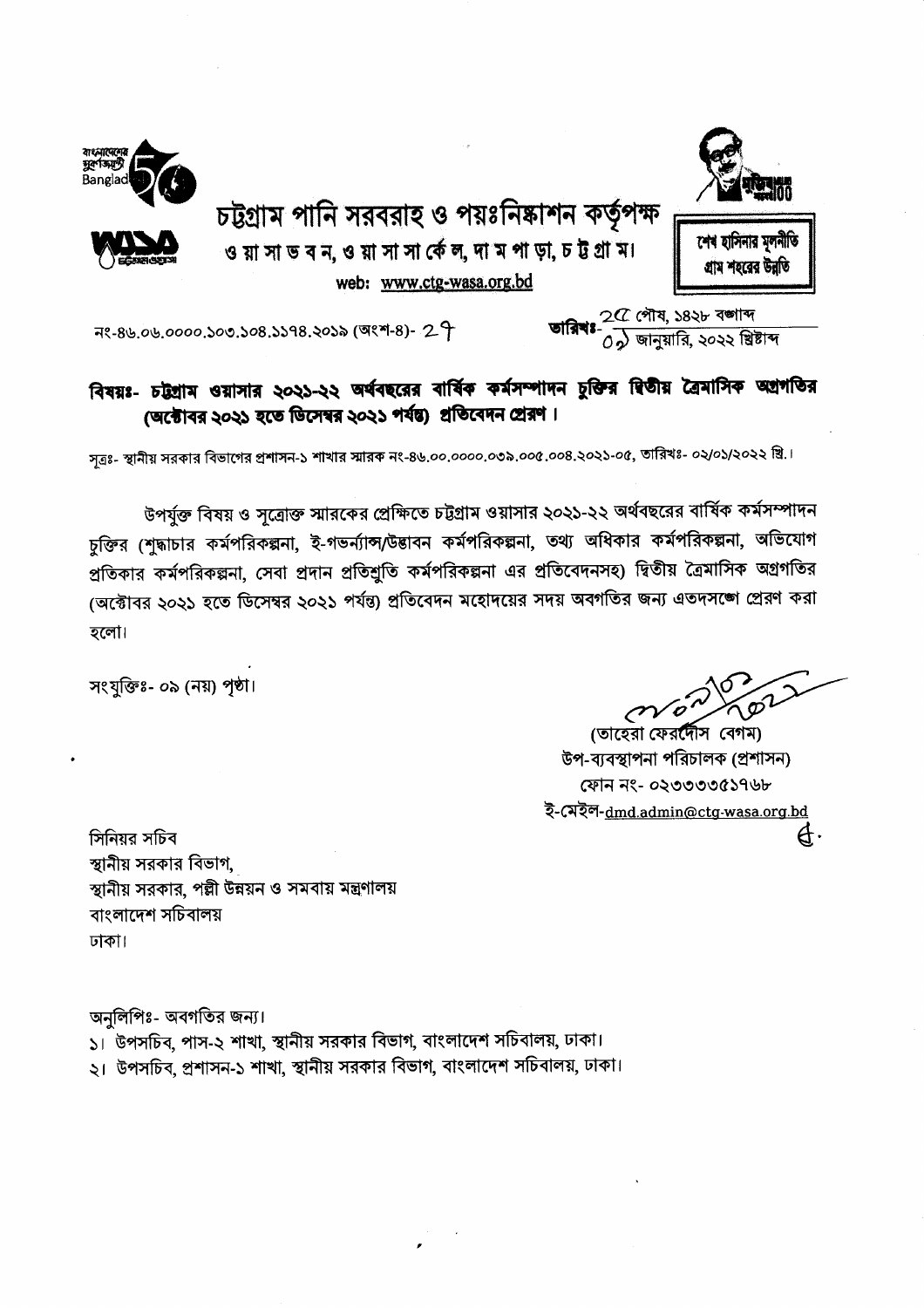

শেৰ হাসিনার মলনীতি

গ্ৰাম শহৱেৱ উৱতি

চট্টগ্রাম পানি সরবরাহ ও পয়ঃনিষ্কাশন কর্তৃপক্ষ ও য়া সা ভ ব ন, ও য়া সা সা র্কে ল, দা ম পা ড়া, চ ট্ট গ্রা ম। web: www.ctg-wasa.org.bd



নং-৪৬.০৬.০০০০.১০৩.১০৪.১১৭৪.২০১৯ (অংশ-৪)- 29

#### বিষয়ঃ- চট্টগ্রাম ওয়াসার ২০২১-২২ অর্থবছরের বার্ষিক কর্মসম্পাদন চুক্তির দ্বিতীয় ত্রৈমাসিক অগ্রগতির (অক্টোবর ২০২১ হতে ডিসেম্বর ২০২১ পর্যন্ত) প্রতিবেদন প্রেরণ।

সত্রঃ- স্থানীয় সরকার বিভাগের প্রশাসন-১ শাখার স্মারক নং-৪৬.০০.০০০০.০৩৯.০০৫.০০৪.২০২১-০৫, তারিখঃ- ০২/০১/২০২২ খ্রি.।

উপর্যুক্ত বিষয় ও সূত্রোক্ত স্মারকের প্রেক্ষিতে চট্টগ্রাম ওয়াসার ২০২১-২২ অর্থবছরের বার্ষিক কর্মসম্পাদন চুক্তির (শুদ্ধাচার কর্মপরিকল্পনা, ই-গভর্ন্যান্স/উদ্ভাবন কর্মপরিকল্পনা, তথ্য অধিকার কর্মপরিকল্পনা, অভিযোগ প্রতিকার কর্মপরিকল্পনা, সেবা প্রদান প্রতিশ্রুতি কর্মপরিকল্পনা এর প্রতিবেদনসহ) দ্বিতীয় ত্রৈমাসিক অগ্রগতির (অক্টোবর ২০২১ হতে ডিসেম্বর ২০২১ পর্যন্ত) প্রতিবেদন মহোদয়ের সদয় অবগতির জন্য এতদসঙ্গে প্রেরণ করা হলো।

সংযুক্তিঃ- ০৯ (নয়) পৃষ্ঠা।

বাংনাদেশে<br>মুক্ত কাল্ট

(তাহেরা ফেরদীেস বেগম) উপ-ব্যবস্থাপনা পরিচালক (প্রশাসন) ফোন নং- ০২৩৩৩৩৫১৭৬৮ ই-মেইল-dmd.admin@ctg-wasa.org.bd Ą.

সিনিয়র সচিব স্থানীয় সরকার বিভাগ, স্থানীয় সরকার, পল্লী উন্নয়ন ও সমবায় মন্ত্রণালয় বাংলাদেশ সচিবালয় ঢাকা।

অনলিপিঃ- অবগতির জন্য।

১। উপসচিব, পাস-২ শাখা, স্থানীয় সরকার বিভাগ, বাংলাদেশ সচিবালয়, ঢাকা। ২। উপসচিব, প্রশাসন-১ শাখা, স্থানীয় সরকার বিভাগ, বাংলাদেশ সচিবালয়, ঢাকা।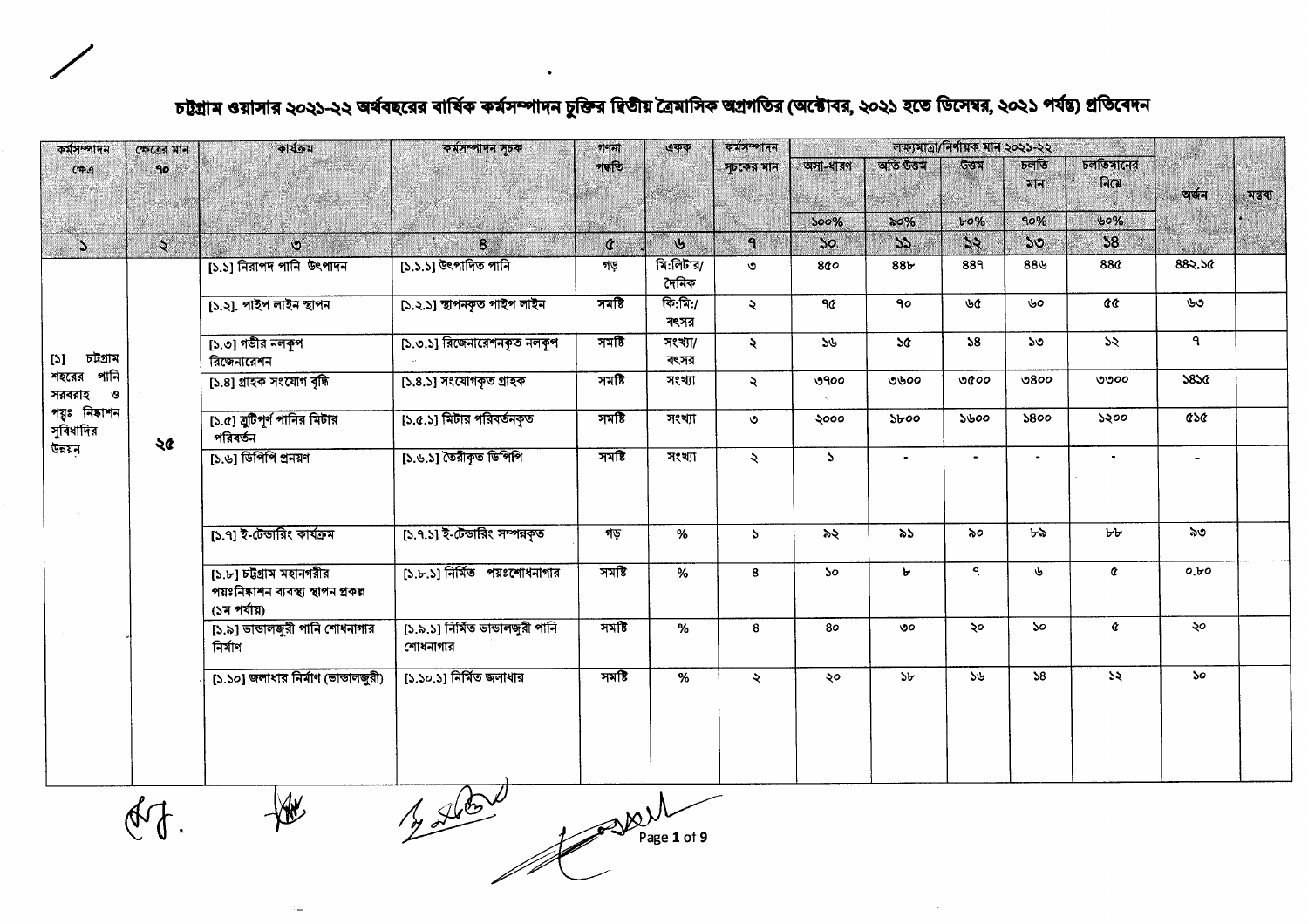| ক্ষেত্ৰের মান   | কাৰ্যক্ৰম                                                        | কর্মসম্পাদন সূচক                           | গণনা                   | একক                         | কৰ্মসম্পাদন         | লক্ষ্যমাত্রা/নির্ণায়ক মান ২০২১-২২<br>a Alban |                 |                |                             |          |                |         |
|-----------------|------------------------------------------------------------------|--------------------------------------------|------------------------|-----------------------------|---------------------|-----------------------------------------------|-----------------|----------------|-----------------------------|----------|----------------|---------|
| 90 <sub>o</sub> |                                                                  |                                            | পদ্ধতি                 |                             | সূচকের মান          | অসা-ধারণ                                      |                 | উতম            | प्रान                       | নিমে     | অৰ্জন          | মন্তব্য |
|                 |                                                                  |                                            | W                      |                             |                     | 500%                                          | $\infty\%$      | $b^{\circ}$    | 90%                         | 60%      |                |         |
|                 | $\mathcal{O}$                                                    | 8 <sup>1</sup>                             | $\mathfrak{a}$         | $\mathbf{v}$                | $\mathsf{P}$        | 50 <sub>o</sub>                               | 55              | 52             | $50^{\circ}$                | 58       |                |         |
|                 | [১.১] নিরাপদ পানি উৎপাদন                                         | [১.১.১] উৎপাদিত পানি                       | গড়                    | $\sqrt{N}$ :লিটার/<br>দৈনিক | ৩                   | 800                                           | 88 <sub>b</sub> | 889            | $88$ ৬                      | 88¢      | 882.50         |         |
|                 | [১.২]. পাইপ লাইন স্থাপন                                          | [১.২.১] স্থাপনকৃত পাইপ লাইন                | সমষ্টি                 | কি:মি:/<br>বৎসর             | $\ddot{\sim}$       | ዓ৫                                            | 90              | ৬৫             | ৬০                          | cc       | ৬৩             |         |
|                 | [১.৩] গভীর নলকূপ<br>রিজেনারেশন                                   | [১.৩.১] রিজেনারেশনকৃত নলকৃপ                | সমষ্টি                 | সংখ্যা/<br>বংসর             | $\lambda$           | 56                                            | $\mathcal{A}$   | 58             | ১৩                          | ১২       | ٩              |         |
|                 | [১.৪] গ্ৰাহক সংযোগ বৃদ্ধি                                        | [১.৪.১] সংযোগকৃত গ্ৰাহক                    | সমষ্টি                 | সংখ্যা                      | $\ddot{\sim}$       | ৩৭০০                                          | ৩৬০০            | 0000           | ು8ಂಂ                        | ৩৩০০     | 5850           |         |
| পয়ুঃ নিষ্কাশন  | [১.৫] বুটিপূর্ণ পানির মিটার<br>পরিবর্তন                          | [১.৫.১] মিটার পরিবর্তনকৃত                  | সমষ্টি                 | সংখ্যা                      | $\circ$             | ২০০০                                          | $\delta$        | ১৬০০           | 5800                        | ১২০০     | asa            |         |
|                 | [১.৬] ডিপিপি প্রনয়ণ                                             |                                            |                        | সংখ্যা                      | $\ddot{\mathbf{z}}$ | $\Delta$                                      |                 | $\blacksquare$ | $\blacksquare$              |          | $\blacksquare$ |         |
|                 | [১.৭] ই-টেন্ডারিং কার্যক্রম                                      | [১.৭.১] ই-টেন্ডারিং সম্পন্নকৃত             | গড়                    | %                           | $\mathcal{L}$       | ৯২                                            | ৯১              | ৯০             | ৮৯                          | ৮৮       | ৯৩             |         |
|                 | $[5.5]$ চটগ্রাম মহানগরীর<br>পয়ঃনিষ্কাশন ব্যবস্থা স্থাপন প্ৰকল্প | [১.৮.১] নির্মিত পয়ঃশোধনাগার               | সমষ্টি                 | %                           | 8                   | $50^{\circ}$                                  | Ъ               | ٩              | ৬                           | $\alpha$ | 0.50           |         |
|                 | [১.৯] ভাভালজুরী পানি শোধনাগার<br>নিৰ্মাণ                         | [১.৯.১] নিৰ্মিত ভাভালজুরী পানি<br>শোধনাগার | $777$ है               | %                           | 8                   | 80                                            | ৩০              | ২০             | $\mathcal{S}^{\mathcal{O}}$ | ¢        | ২০             |         |
|                 | [১.১০] জলাধার নির্মাণ (ভাভালজুরী)                                | [১.১০.১] নির্মিত জলাধার                    | সমষ্টি                 | %                           | ₹                   | ২০                                            | 5 <sub>b</sub>  | 56             | 38                          | ১২       | <b>So</b>      |         |
| শহরের পানি      | $\lambda$<br>২৫                                                  | (১ম পর্যায়)                               | [১.৬.১] তৈরীকৃত ডিপিপি | সমষ্টি                      |                     |                                               |                 | অতি উত্তম      |                             | চলতি     | চলতিমানের      |         |

# চট্টগ্রাম ওয়াসার ২০২১-২২ অর্থবছরের বার্ষিক কর্মসম্পাদন চুক্তির দ্বিতীয় ত্রৈমাসিক অগ্রগতির (অক্টোবর, ২০২১ হতে ডিসেম্বর, ২০২১ পর্যন্ত) প্রতিবেদন

 $M$ 

 $490 - 12$  $M_V$ <br>Page 1 of 9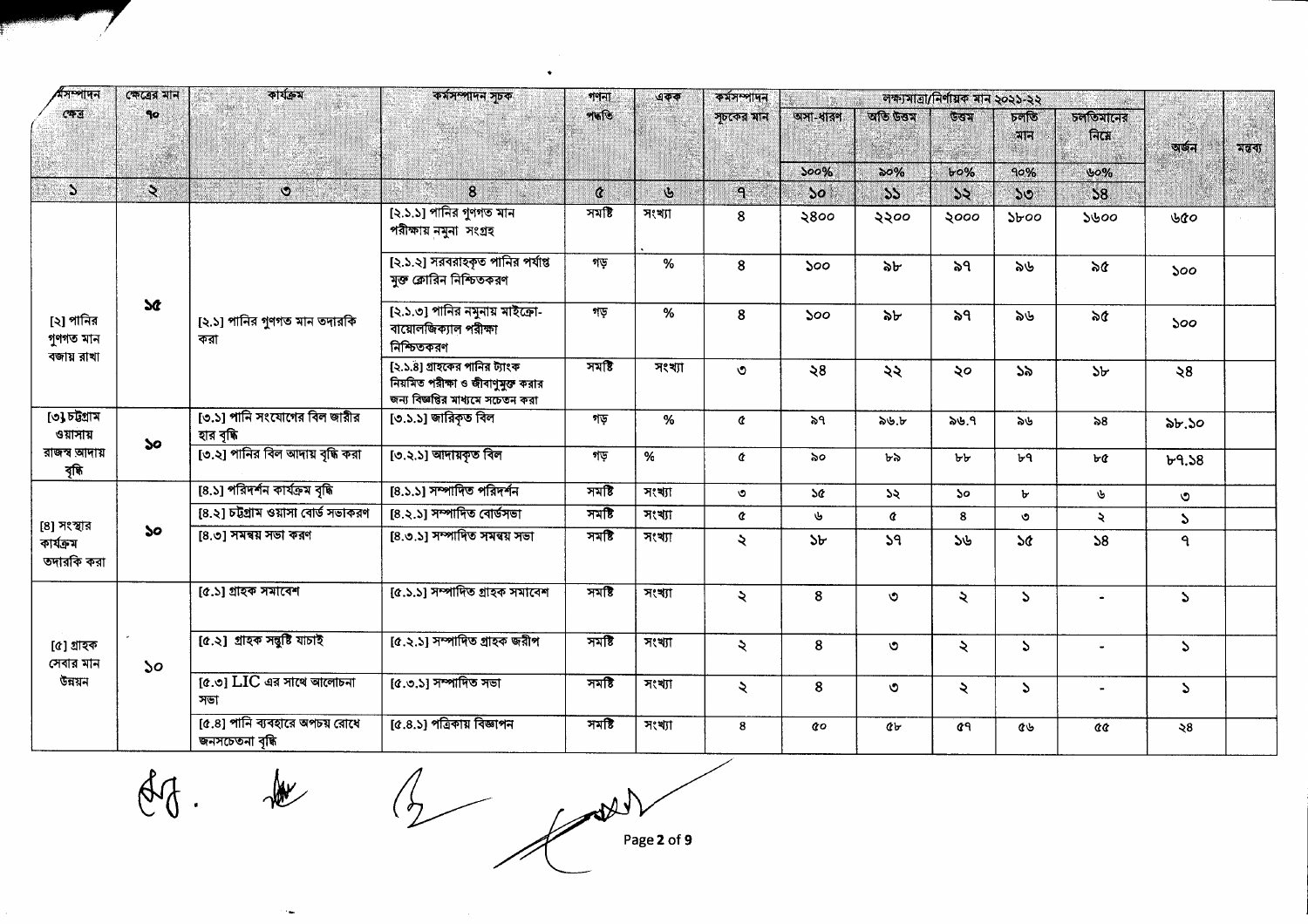| শসম্পাদন                               | কেত্রের মান         | কাৰ্যক্ৰম                                         | কর্মসম্পাদন সূচক                                                                                         | গণনা<br>পদ্ধতি    | একক          | কৰ্মসম্পাদন   |                |               | লক্ষ্যমাত্ৰা/নিৰ্ণায়ক মান ২০২১-২২ |                      |                                     |                  |         |
|----------------------------------------|---------------------|---------------------------------------------------|----------------------------------------------------------------------------------------------------------|-------------------|--------------|---------------|----------------|---------------|------------------------------------|----------------------|-------------------------------------|------------------|---------|
| কেত্ৰ                                  | 90                  |                                                   |                                                                                                          |                   |              | সচকের মান     | অসা-ধারণ       | অতি উত্তম     | উত্তম                              | চলতি<br>মান          | চলতিমানের<br>$\widehat{\mathsf{H}}$ | অৰ্জন            | মন্তব্য |
|                                        |                     |                                                   |                                                                                                          |                   |              |               | 500%           | $\delta 9\%$  | $b^{\circ}\%$                      | 90%                  | 60%                                 |                  |         |
| $\mathcal{L}$                          | $\ddot{\mathbf{z}}$ | $\ddot{\circ}$                                    | $\bf{8}$                                                                                                 | $\mathbf{\alpha}$ | $\mathbf{b}$ | $\mathbf{a}$  | $\mathbf{S}$   | 55            | 55                                 | $50^{\circ}$         | 58                                  |                  |         |
|                                        |                     |                                                   | [২.১.১] পানির গুণগত মান<br>পরীক্ষায় নমুনা সংগ্রহ                                                        | সমষ্টি            | সংখ্যা       | 8             | ২৪০০           | ২২০০          | ২০০০                               | $\delta$             | ১৬০০                                | ৬৫০              |         |
|                                        |                     |                                                   | [২.১.২] সরবরাহকৃত পানির পর্যাপ্ত<br>মুক্ত ক্লোরিন নিশ্চিতকরণ                                             | গড়               | $\%$         | 8             | 500            | ৯৮            | ৯৭                                 | ৯৬                   | ৯৫                                  | 500              |         |
| [২] পানির<br>গুণগত মান                 | $\mathbf{r}$        | [২.১] পানির গুণগত মান তদারকি<br>করা               | [২.১.৩] পানির নমুনায় মাইক্রো-<br>বায়োলজিক্যাল পরীক্ষা<br>নিশ্চিতকরণ                                    | গড়               | %            | 8             | 500            | ৯৮            | ৯৭                                 | ৯৬                   | ৯৫                                  | 500 <sub>o</sub> |         |
| বজায় রাখা                             |                     |                                                   | [২.১.৪] গ্রাহকের পানির ট্যাংক<br>নিয়মিত পরীক্ষা ও জীবাণুমুক্ত করার<br>জন্য বিজ্ঞপ্তির মাধ্যমে সচেতন করা | সমষ্টি            | সংখ্যা       | $\circ$       | $\Im 8$        | ২২            | ২০                                 | 55                   | 5 <sub>b</sub>                      | $\geqslant 8$    |         |
| [৩] চটগ্ৰাম<br>ওয়াসায়                | $\mathbf{S}$        | [৩.১] পানি সংযোগের বিল জারীর<br>হার বৃদ্ধি        | [৩.১.১] জারিকৃত বিল                                                                                      | গড়               | %            | $\alpha$      | ৯৭             | ৯৬.৮          | ৯৬.৭                               | ৯৬                   | ৯৪                                  | ৯৮.১০            |         |
| রাজস্ব আদায়<br>বৃদ্ধি                 |                     | [৩.২] পানির বিল আদায় বৃদ্ধি করা                  | [৩.২.১] আদায়কৃত বিল                                                                                     | গড়               | %            | ¢             | ৯০             | ৮৯            | ৮৮                                 | ৮৭                   | ৮৫                                  | b9.58            |         |
|                                        |                     | [8.১] পরিদর্শন কার্যক্রম বৃদ্ধি                   | [8.১.১] সম্পাদিত পরিদর্শন                                                                                | সমষ্টি            | সংখ্যা       | ৩             | 5¢             | $\mathcal{A}$ | So.                                | $\mathbf{b}$         | ৬                                   | ৩                |         |
|                                        |                     | [8.২] চট্টগ্রাম ওয়াসা বোর্ড সভাকরণ               | [৪.২.১] সম্পাদিত বোর্ডসভা                                                                                | 77                | সংখ্যা       | ¢             | ىل             | ¢             | 8                                  | $\circ$              | $\ddot{\phantom{0}}$                | $\mathcal{L}$    |         |
| [8] সংস্থার<br>কাৰ্যক্ৰম<br>তদারকি করা | $\mathbf{S}$        | [8.৩] সমন্বয় সভা করণ                             | [8.0.5] সম্পাদিত সমন্বয় সভা                                                                             | সমষ্টি            | সংখ্যা       | $\lambda$     | 5 <sub>b</sub> | 59            | 56                                 | $\mathcal{A}$        | 58                                  | ٩                |         |
|                                        |                     | [৫.১] গ্ৰাহক সমাবেশ                               | [৫.১.১] সম্পাদিত গ্ৰাহক সমাবেশ                                                                           | সমষ্টি            | সংখ্যা       | $\ddot{\sim}$ | 8              | $\circ$       | $\lambda$                          | $\mathcal{L}$        |                                     | $\mathcal{L}$    |         |
| [৫] গ্ৰাহক<br>সেবার মান                | 50                  | [৫.২] গ্ৰাহক সন্তুষ্টি যাচাই                      | [৫.২.১] সম্পাদিত গ্ৰাহক জয়ীপ                                                                            | সমষ্টি            | সংখ্যা       | $\ddot{\sim}$ | 8              | ৩             | $\lambda$                          | $\mathcal{L}$        |                                     | $\mathcal{L}$    |         |
| উন্নয়ন                                |                     | $[c.5]$ LIC এর সাথে আলোচনা<br>সভা                 | [৫.৩.১] সম্পাদিত সভা                                                                                     | সমষ্টি            | সংখ্যা       | $\lambda$     | 8              | ৩             | $\ddot{\sim}$                      | $\sum_{i=1}^{n} a_i$ |                                     | $\mathcal{L}$    |         |
|                                        |                     | [৫.৪] পানি ব্যবহারে অপচয় রোধে<br>জনসচেতনা বৃদ্ধি | [৫.৪.১] পত্রিকায় বিজ্ঞাপন                                                                               | সমষ্টি            | সংখ্যা       | 8             | QΟ             | Qr            | $\mathfrak{a}$                     | ৫৬                   | aa                                  | $\lambda 8$      |         |

 $\bullet$ 

 $df.$  de

 $\epsilon_{\rm m}$ 

 $\frac{1}{2}$   $\frac{1}{2}$ Page 2 of 9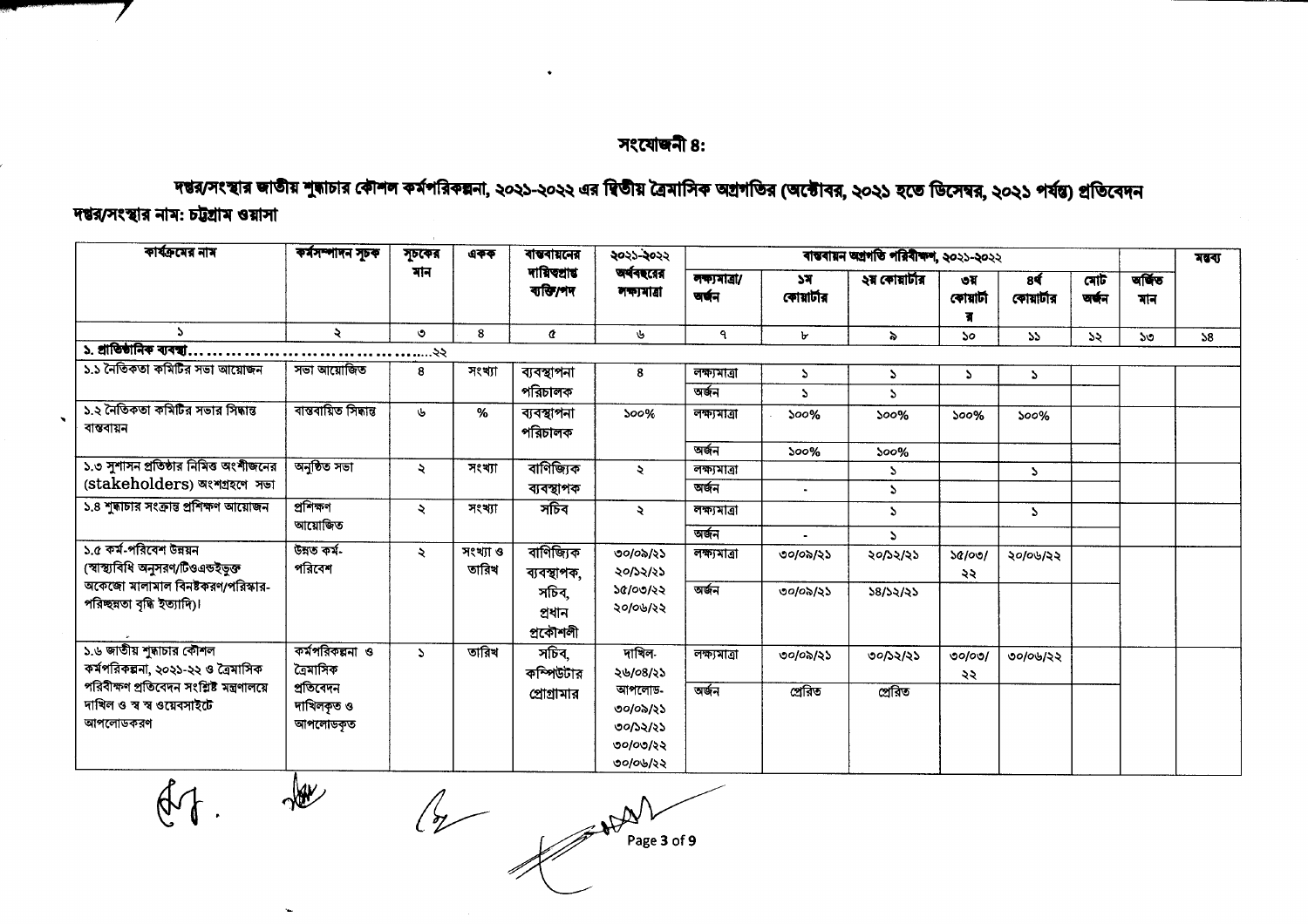#### সংযোজনী ৪:

# দন্তর/সংস্থার জাতীয় শুন্ধাচার কৌশল কর্মপরিকল্পনা, ২০২১-২০২২ এর দ্বিতীয় ব্রৈমাসিক অগ্রগতির (অক্টোবর, ২০২১ হতে ডিসেম্বর, ২০২১ পর্যন্ত) প্রতিবেদন

# দম্বর/সংস্থার নাম: চট্টগ্রাম ওয়াসা

 $44$ 

 $\frac{1}{2}$ 

| কাৰ্যক্ৰমের নাম                                                                      | কৰ্মসম্পাদন সূচক                   | সূচকের              | একক               | ৰাম্বৰায়নের                | ২০২১-২০২২                                              |                        |                  | ৰান্তৰায়ন অগ্ৰগতি পরিবীক্ষণ, ২০২১-২০২২ |                  |                  |              |              | মন্বৰ্য |
|--------------------------------------------------------------------------------------|------------------------------------|---------------------|-------------------|-----------------------------|--------------------------------------------------------|------------------------|------------------|-----------------------------------------|------------------|------------------|--------------|--------------|---------|
|                                                                                      |                                    | মান                 |                   | দায়িত্বার<br>ব্যক্তি/শদ    | অর্থবছরের<br>লক্যমাত্ৰা                                | লক্ষ্যমাত্ৰা/<br>অৰ্জন | ১ম<br>কোয়াৰ্টার | ২য় কোয়াৰ্টার                          | ৩য়<br>কোয়াৰ্টা | 8¢<br>কোয়ার্টার | মোট<br>অৰ্জন | जकिंछ<br>মান |         |
| S.                                                                                   | ₹                                  | $\circ$             | 8                 | ¢                           | ৬                                                      | ٩                      | ৮                | $\ddot{\phantom{0}}$                    | ১০               | 55               | ১২           | ১৩           | 58      |
| ১. প্ৰাতিষ্ঠানিক ব্যবস্থা.                                                           |                                    | ২২                  |                   |                             |                                                        |                        |                  |                                         |                  |                  |              |              |         |
| ১.১ নৈতিকতা কমিটির সভা আয়োজন                                                        | সভা আয়োজিত                        | 8                   | সংখ্যা            | ব্যবস্থাপনা                 | 8                                                      | লক্ষ্যমাত্ৰা           | $\mathcal{L}$    | $\mathcal{L}$                           | $\mathcal{L}$    | P.               |              |              |         |
|                                                                                      |                                    |                     |                   | পরিচালক                     |                                                        | অৰ্জন                  | $\Delta$         | $\mathbf{A}$                            |                  |                  |              |              |         |
| ১.২ নৈতিকতা কমিটির সভার সিদ্ধান্ত<br>বান্তবায়ন                                      | বাস্তবায়িত সিদ্ধান্ত              | Ù.                  | %                 | ব্যবস্থাপনা<br>পরিচালক      | 500%                                                   | লক্ষ্যমাত্ৰা           | 500%             | 500%                                    | 500%             | 500%             |              |              |         |
|                                                                                      |                                    |                     |                   |                             |                                                        | অৰ্জন                  | 500%             | 500%                                    |                  |                  |              |              |         |
| ১.৩ সুশাসন প্রতিষ্ঠার নিমিত্ত অংশীজনের                                               | অনুষ্ঠিত সভা                       | $\ddot{\mathbf{z}}$ | সংখ্যা            | বাণিজ্যিক                   | $\ddot{\mathbf{z}}$                                    | লক্ষ্যমাত্ৰা           |                  | S.                                      |                  | D.               |              |              |         |
| (stakeholders) অংশগ্ৰহণে সভা                                                         |                                    |                     |                   | ব্যবস্থাপক                  |                                                        | অৰ্জন                  | $\bullet$        | S.                                      |                  |                  |              |              |         |
| ১.৪ শুদ্ধাচার সংক্রান্ত প্রশিক্ষণ আয়োজন                                             | প্ৰশিক্ষণ<br>আয়োজিত               | ₹                   | সংখ্যা            | সচিব                        | ₹                                                      | লক্ষ্যমাত্ৰা           |                  | $\mathcal{L}$                           |                  | S.               |              |              |         |
|                                                                                      |                                    |                     |                   |                             |                                                        | অৰ্জন                  |                  | Z.                                      |                  |                  |              |              |         |
| ১.৫ কর্ম-পরিবেশ উন্নয়ন<br>(স্বাস্থ্যবিধি অনুসরণ/টিওএন্ডইভুক্ত                       | উন্নত কৰ্ম-<br>পরিবেশ              | $\ddot{\sim}$       | সংখ্যা ও<br>তারিখ | বাণিজ্যিক<br>ব্যবস্থাপক,    | ৩০/০৯/২১<br>২০/১২/২১                                   | লক্ষ্যমাত্ৰা           | ৩০/০৯/২১         | ২০/১২/২১                                | ১৫/০৩/<br>২২     | ২০/০৬/২২         |              |              |         |
| অকেজো মালামাল বিনষ্টকরণ/পরিস্কার-<br>পরিচ্ছন্নতা বৃদ্ধি ইত্যাদি)।                    |                                    |                     |                   | সচিব.<br>প্ৰধান<br>প্ৰকৌশলী | ১৫/০৩/২২<br>২০/০৬/২২                                   | অৰ্জন                  | ৩০/০৯/২১         | 58/52/35                                |                  |                  |              |              |         |
| ১.৬ জাতীয় শুদ্ধাচার কৌশল<br>কর্মপরিকল্পনা, ২০২১-২২ ও ত্রৈমাসিক                      | কর্মপরিকল্পনা ও<br>ত্ৰৈমাসিক       | $\Delta$            | তারিখ             | সচিব,<br>কম্পিউটার          | দাখিল-<br>২৬/০৪/২১                                     | লক্ষ্যাত্ৰা            | ৩০/০৯/২১         | ৩০/১২/২১                                | 00/00/<br>২২     | ৩০/০৬/২২         |              |              |         |
| পরিবীক্ষণ প্রতিবেদন সংশ্লিষ্ট মন্ত্রণালয়ে<br>দাখিল ও স্ব স্ব ওয়েবসাইটে<br>আপলোডকরণ | প্ৰতিবেদন<br>দাখিলকৃত ও<br>আপলোডকত |                     |                   | প্রোগ্রামার                 | আপলোড-<br>৩০/০৯/২১<br>৩০/১২/২১<br>৩০/০৩/২২<br>৩০/০৬/২২ | অৰ্জন                  | প্ৰেৰিত          | প্ৰেরিত                                 |                  |                  |              |              |         |

 $\sqrt{\frac{1}{10}}$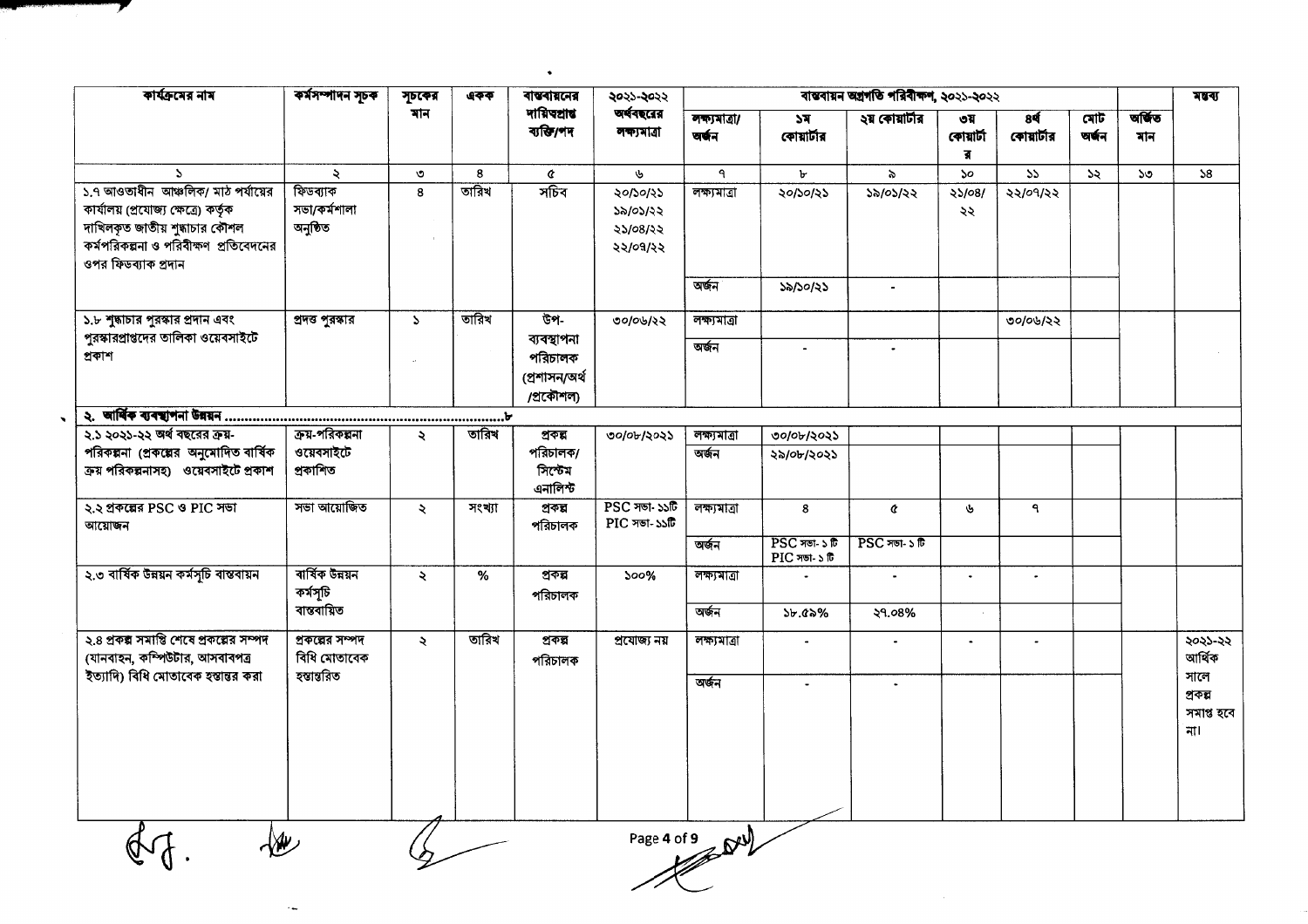| কাৰ্যক্ৰমের নাম                                                                                                                                                              | কৰ্মসম্পাদন সূচক                     | সূচকের              | একক    | <b>बाखबाब्रत्नत्र</b>                                | ২০২১-২০২২                                                                | বাস্তবায়ন অগ্ৰগতি পৰিবীক্ষণ, ২০২১-২০২২ |                                  |                |                       |                              |              |               | मखय                                  |
|------------------------------------------------------------------------------------------------------------------------------------------------------------------------------|--------------------------------------|---------------------|--------|------------------------------------------------------|--------------------------------------------------------------------------|-----------------------------------------|----------------------------------|----------------|-----------------------|------------------------------|--------------|---------------|--------------------------------------|
|                                                                                                                                                                              |                                      | মান                 |        | দায়িত্বাৰ<br>ব্যক্তি/পদ                             | অর্থবছরের<br>লক্ষ্যমাত্ৰা                                                | লক্যমাত্ৰা/<br>चर्चन                    | ১ম<br>কোয়ার্টার                 | ২য় কোয়ার্টার | ৩য়<br>কোয়াৰ্টা<br>র | 8 <sup>4</sup><br>কোয়াৰ্টার | মোট<br>অৰ্জন | অৰ্জিত<br>মান |                                      |
| $\mathcal{L}$                                                                                                                                                                | ₹                                    | $\circ$             | 8      | ¢                                                    | $\mathbf{v}$                                                             | ٩                                       | ৮                                | $\delta$       | $50^{\circ}$          | $\overline{\mathcal{P}}$     | 55           | ১৩            | 58                                   |
| ১.৭ আওতাধীন আঞ্চলিক/ মাঠ পর্যায়ের<br>কাৰ্যালয় (প্ৰযোজ্য ক্ষেত্ৰে) কৰ্তৃক<br>দাখিলকৃত জাতীয় শুদ্ধাচার কৌশল<br>কর্মপরিকল্পনা ও পরিবীক্ষণ প্রতিবেদনের<br>ওপর ফিডব্যাক প্রদান | ফিডব্যাক<br>সভা/কর্মশালা<br>অনুষ্ঠিত | 8                   | তারিখ  | সচিব                                                 | ২০/১০/২১<br>১৯/০১/২২<br>২১/০৪/২২<br>২২/০৭/২২                             | লক্ষ্যমাত্ৰা                            | ২০/১০/২১                         | ১৯/০১/২২       | 25/08/<br>২২          | ২২/০৭/২২                     |              |               |                                      |
|                                                                                                                                                                              |                                      |                     |        |                                                      |                                                                          | অৰ্জন                                   | ১৯/১০/২১                         |                |                       |                              |              |               |                                      |
| ১.৮ শুদ্ধাচার পুরস্কার প্রদান এবং<br>পুরস্কারপ্রাপ্তদের তালিকা ওয়েবসাইটে                                                                                                    | প্ৰদত্ত পুৰস্কার                     | $\mathcal{L}$       | তারিখ  | উপ-                                                  | ৩০/০৬/২২                                                                 | লক্ষ্যমাত্ৰা                            |                                  |                |                       | ৩০/০৬/২২                     |              |               |                                      |
| প্ৰকাশ                                                                                                                                                                       |                                      |                     |        | ব্যবস্থাপনা<br>পরিচালক<br>(প্ৰশাসন/অৰ্থ<br>/প্ৰকৌশল) |                                                                          | অৰ্জন                                   |                                  |                |                       |                              |              |               |                                      |
|                                                                                                                                                                              |                                      |                     |        |                                                      |                                                                          |                                         |                                  |                |                       |                              |              |               |                                      |
| ২.১ ২০২১-২২ অর্থ বছরের ক্রয়-                                                                                                                                                | ক্রয়-পরিকল্পনা                      | $\ddot{\mathbf{z}}$ | তারিখ  | প্ৰকল্প                                              | ৩০/০৮/২০২১                                                               | লক্ষ্যমাত্ৰা                            | ৩০/০৮/২০২১                       |                |                       |                              |              |               |                                      |
| পরিকল্পনা (প্রকল্পের অনুমোদিত বার্ষিক<br>ক্ৰয় পৰিকল্পনাসহ) ওয়েবসাইটে প্ৰকাশ                                                                                                | ওয়েবসাইটে<br>প্ৰকাশিত               |                     |        | পরিচালক/<br>সিস্টেম<br>এনালিস্ট                      |                                                                          | অৰ্জন                                   | ২৯/০৮/২০২১                       |                |                       |                              |              |               |                                      |
| ২.২ প্রকল্পের PSC ও PIC সভা<br>আয়োজন                                                                                                                                        | সভা আয়োজিত                          | $\ddot{\sim}$       | সংখ্যা | প্ৰকল্প<br>পরিচালক                                   | $\overline{\text{PSC}}$ সভা- ১১টি<br>$\overline{\mathrm{PIC}}$ সভা- ১১টি | লক্ষ্যমাত্ৰা                            | $\boldsymbol{8}$                 | ¢              | $\mathbf{v}$          | $\mathbf{q}$                 |              |               |                                      |
|                                                                                                                                                                              |                                      |                     |        |                                                      |                                                                          | অৰ্জন                                   | $PSC$ সভা-১ টি<br>$PIC$ সভা-১ টি | $PSC$ সভা-১ টি |                       |                              |              |               |                                      |
| ২.৩ বাৰ্ষিক উন্নয়ন কৰ্মসূচি বাস্তবায়ন                                                                                                                                      | ৰাৰ্ষিক উন্নয়ন<br>কৰ্মসূচি          | $\ddot{\sim}$       | $\%$   | প্ৰকল্প<br>পরিচালক                                   | $500\%$                                                                  | লক্ষ্যমাত্ৰা                            |                                  | $\bullet$      | $\bullet$             | $\bullet$                    |              |               |                                      |
|                                                                                                                                                                              | বান্তবায়িত                          |                     |        |                                                      |                                                                          | অৰ্জন                                   | $55.65\%$                        | ২৭.০৪%         |                       |                              |              |               |                                      |
| ২.৪ প্রকল্প সমাপ্তি শেষে প্রকল্পের সম্পদ<br>(যানবাহন, কম্পিউটার, আসবাবপত্র                                                                                                   | প্রকল্পের সম্পদ<br>বিধি মোতাবেক      | $\ddot{\mathbf{z}}$ | তারিখ  | প্ৰকল্প<br>পরিচালক                                   | প্ৰযোজ্য নয়                                                             | লক্ষ্যমাত্ৰা                            | $\blacksquare$                   | $\bullet$      | $\blacksquare$        | $\blacksquare$               |              |               | ২০২১-২২<br>আৰ্থিক                    |
| ইত্যাদি) বিধি মোতাবেক হস্তান্তর করা                                                                                                                                          | হম্ভান্তরিত                          |                     |        |                                                      |                                                                          | অৰ্জন                                   | $\mathbf{r}$                     | $\mathbf{r}$   |                       |                              |              |               | সালে<br>প্ৰকল্প<br>সমাপ্ত হবে<br>না। |
|                                                                                                                                                                              |                                      |                     |        |                                                      |                                                                          | Page 4 of 9                             |                                  |                |                       |                              |              |               |                                      |

 $\bullet$ 

 $\ddot{\phantom{1}}$ 

7

 $\ddot{\phantom{1}}$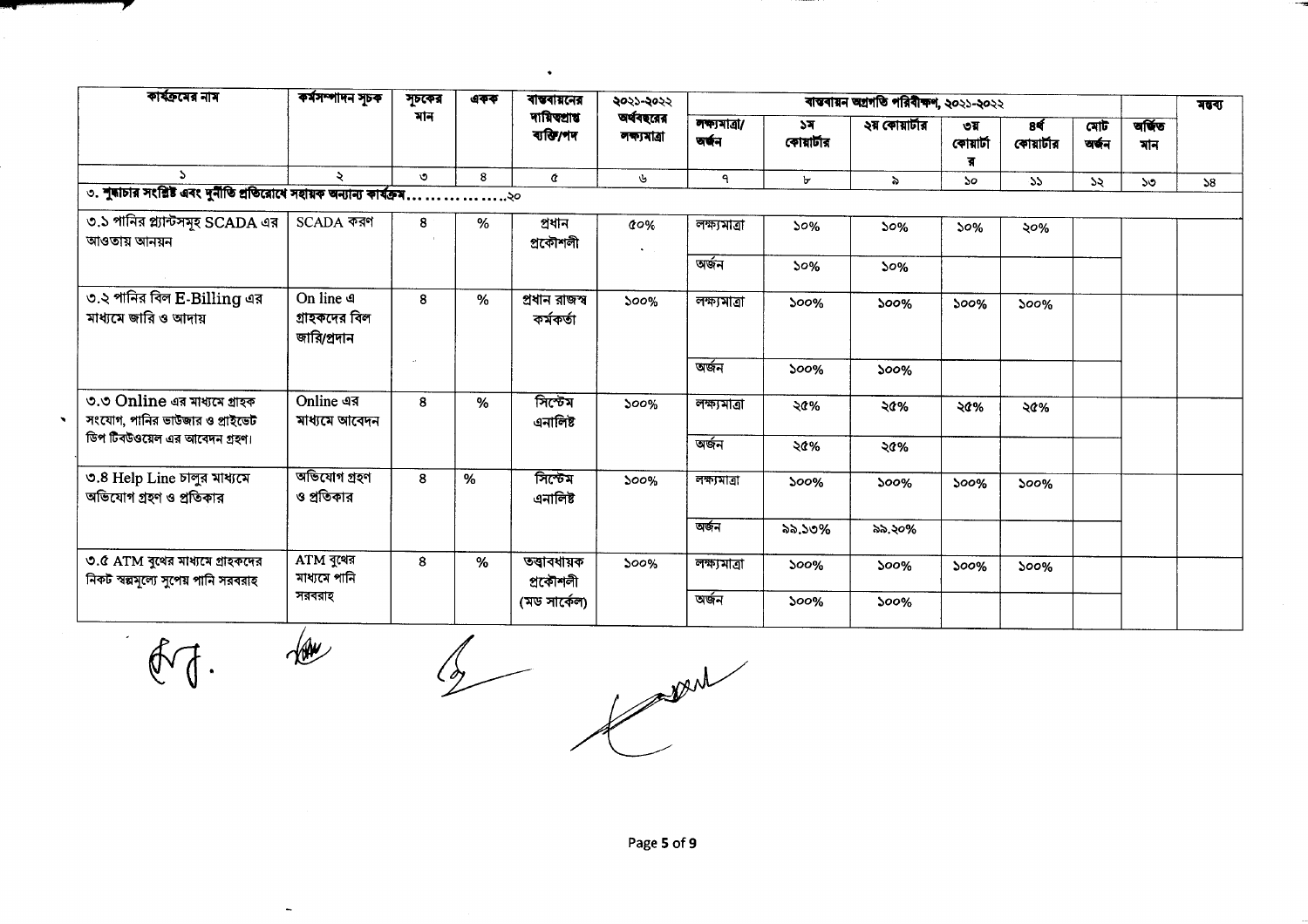| কাৰ্যক্ৰমের নাম                                                         | কর্মসম্পাদন সূচক                          | সূচকের  | একক | বান্তবায়নের                 | ২০২১-২০২২               |                        |                  | ৰাস্তৰায়ন অগ্ৰগতি পৰিবীক্ষণ, ২০২১-২০২২ |                       |                  |                             |              | মন্বৰ্য |
|-------------------------------------------------------------------------|-------------------------------------------|---------|-----|------------------------------|-------------------------|------------------------|------------------|-----------------------------------------|-----------------------|------------------|-----------------------------|--------------|---------|
|                                                                         |                                           | মান     |     | দায়িত্প্ৰাপ্ত<br>ব্যক্তি/পদ | অর্থবছরের<br>লক্যমাত্ৰা | লক্ষ্যমাত্ৰা/<br>অৰ্জন | ১ন<br>কোয়ার্টার | ২য় কোয়ার্টার                          | ৩য়<br>কোয়ার্টা<br>র | 8¢<br>কোয়ার্টার | মোট $\overline{ }$<br>অৰ্জন | जकिंड<br>মান |         |
| $\Delta$                                                                |                                           | $\circ$ | 8   | ¢                            | ৬                       | ٩                      | Ъ                | $\lambda$                               | ১০                    | 55               | 55                          | ১৩           | 58      |
| ৩. শুদ্ধাচার সংশ্লিষ্ট এবং দুর্নীতি প্রতিরোধে সহায়ক অন্যান্য কার্যক্রম |                                           |         |     |                              |                         |                        |                  |                                         |                       |                  |                             |              |         |
| ৩.১ পানির প্ল্যান্টসমূহ SCADA এর<br>আওতায় আনয়ন                        | SCADA করণ                                 | 8       | %   | প্ৰধান<br>প্ৰকৌশলী           | $\alpha$ %              | লক্ষ্যমাত্ৰা           | ১০%              | 50%                                     | 50%                   | ২০%              |                             |              |         |
|                                                                         |                                           |         |     |                              |                         | অৰ্জন                  | 50%              | 50%                                     |                       |                  |                             |              |         |
| ৩.২ পানির বিল E-Billing এর<br>মাধ্যমে জারি ও আদায়                      | On line a<br>গ্রাহকদের বিল<br>জারি/প্রদান | 8       | %   | প্ৰধান রাজস্ব<br>কৰ্মকৰ্তা   | 500%                    | লক্ষ্যমাত্ৰা           | 500%             | 500%                                    | ১০০%                  | 500%             |                             |              |         |
|                                                                         |                                           |         |     |                              |                         | অৰ্জন                  | 500%             | 500%                                    |                       |                  |                             |              |         |
| ৩.৩ Online এর মাধ্যমে গ্রাহক<br>সংযোগ, পানির ভাউজার ও প্রাইভেট          | Online এর<br>মাধ্যমে আবেদন                | 8       | %   | সিস্টেম<br>এনালিষ্ট          | 500%                    | লক্ষ্যমাত্ৰা           | ২৫%              | ২৫%                                     | ২৫%                   | ২৫%              |                             |              |         |
| ডিপ টিবউওয়েল এর আবেদন গ্রহণ।                                           |                                           |         |     |                              |                         | অৰ্জন                  | ২৫%              | ২৫%                                     |                       |                  |                             |              |         |
| ৩.8 Help Line চালুর মাধ্যমে<br>অভিযোগ গ্রহণ ও প্রতিকার                  | অভিযোগ গ্ৰহণ<br>ও প্রতিকার                | 8       | %   | সিস্টেম<br>এনালিষ্ট          | 500%                    | লক্ষ্যমাত্ৰা           | 500%             | 500%                                    | $500\%$               | 500%             |                             |              |         |
|                                                                         |                                           |         |     |                              |                         | অৰ্জন                  | ৯৯.১৩%           | ৯৯.২০%                                  |                       |                  |                             |              |         |
| ৩.৫ ATM বুথের মাধ্যমে গ্রাহকদের<br>নিকট স্বল্পসূল্যে সুপেয় পানি সরবরাহ | ATM বুথের<br>মাধ্যমে পানি                 | 8       | %   | তত্ত্বাবধায়ক<br>প্ৰকৌশলী    | 500%                    | লক্ষ্যমাত্ৰা           | 500%             | 500%                                    | 500%                  | 500%             |                             |              |         |
|                                                                         | সরবরাহ                                    |         |     | (মড সার্কেল)                 |                         | অৰ্জন                  | 500%             | 500%                                    |                       |                  |                             |              |         |

 $\bullet$ 

 $\oint d\vec{r}$ 

7

 $\mathbb{Z}$ 

 $\frac{1}{\sqrt{2}}$ 

j.

port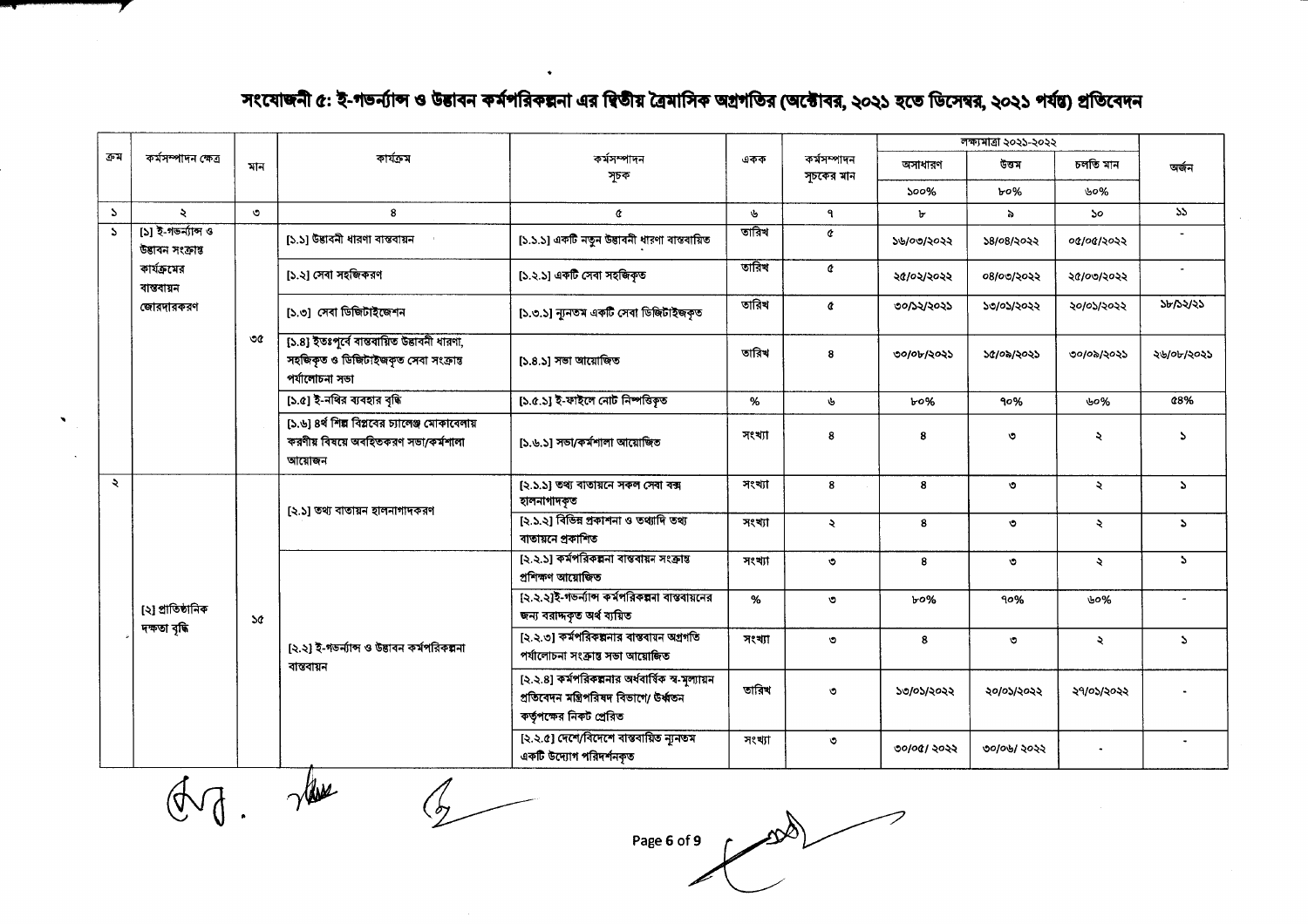### সংযোজনী ৫: ই-গভর্ন্যান্স ও উত্তাবন কর্মপরিকল্পনা এর দ্বিতীয় ত্রৈমাসিক অগ্রগতির (অক্টোবর, ২০২১ হতে ডিসেম্বর, ২০২১ পর্যন্ত) প্রতিবেদন

 $\bullet$ 

|               |                                        |               |                                                                                                       |                                                                                                                         |              |                           |               | লক্ষ্যমাত্ৰা ২০২১-২০২২ |            |               |
|---------------|----------------------------------------|---------------|-------------------------------------------------------------------------------------------------------|-------------------------------------------------------------------------------------------------------------------------|--------------|---------------------------|---------------|------------------------|------------|---------------|
| ক্ৰম          | কৰ্মসম্পাদন ক্ষেত্ৰ                    | মান           | কাৰ্যক্ৰম                                                                                             | কর্মসম্পাদন<br>সূচক                                                                                                     | একক          | কৰ্মসম্পাদন<br>সূচকের মান | অসাধারণ       | উত্তম                  | চলতি মান   | অৰ্জন         |
|               |                                        |               |                                                                                                       |                                                                                                                         |              |                           | ১০০%          | ৮০%                    | ৬০%        |               |
| $\mathcal{L}$ | ź.                                     | $\circ$       | 8                                                                                                     | ¢                                                                                                                       | $\mathbf{v}$ | $\mathbf{q}$              | $\mathbf{b}$  | $\delta$               | 50.        | $55 -$        |
| $\mathbf{r}$  | [১] ই-গভর্ন্যান্স ও<br>উৱাবন সংক্ৰান্ত |               | [১.১] উদ্ভাবনী ধারণা বাস্তবায়ন                                                                       | [১.১.১] একটি নতুন উদ্ভাবনী ধারণা বাস্তবায়িত                                                                            | তারিখ        | ¢                         | ১৬/০৩/২০২২    | ১৪/০৪/২০২২             | ০৫/০৫/২০২২ |               |
|               | কার্যক্রমের<br>বাস্তবায়ন              |               | [১.২] সেবা সহজিকরণ                                                                                    | [১.২.১] একটি সেবা সহজিকৃত                                                                                               | তারিখ        | ¢                         | ২৫/০২/২০২২    | ০৪/০৩/২০২২             | ২৫/০৩/২০২২ |               |
|               | জোরদারকরণ                              |               | [১.৩] সেবা ডিজিটাইজেশন                                                                                | [১.৩.১] ন্যূনতম একটি সেবা ডিজিটাইজকৃত                                                                                   | তারিখ        | ¢                         | ০০/১২/২০২১    | ১৩/০১/২০২২             | ২০/০১/২০২২ | সম্পর্য স     |
|               |                                        | ৩৫            | [১.৪] ইতঃপূৰ্বে ৰান্তৰায়িত উদ্ভাবনী ধারণা,<br>সহজিকৃত ও ডিজিটাইজকৃত সেবা সংক্রান্ত<br>পর্যালোচনা সভা | [১.৪.১] সভা আয়োজিত                                                                                                     | তারিখ        | 8                         | ৩০/০৮/২০২১    | ১৫/০৯/২০২১             | ৩০/০৯/২০২১ | ২৬/০৮/২০২১    |
|               |                                        |               | [১.৫] ই-নথির ব্যবহার বৃদ্ধি                                                                           | [১.৫.১] ই-ফাইলে নোট নিষ্পত্তিকৃত                                                                                        | %            | y                         | ৮০%           | 90%                    | ৬০%        | 48%           |
|               |                                        |               | [১.৬] ৪র্থ শিল্প বিপ্লবের চ্যালেঞ্জ মোকাবেলায়<br>করণীয় বিষয়ে অবহিতকরণ সভা/কর্মশালা<br>আয়োজন       | [১.৬.১] সভা/কর্মশালা আয়োজিত                                                                                            | সংখ্যা       | 8                         | 8             | ৩                      | ২          | P.            |
| Ź.            |                                        |               |                                                                                                       | [২.১.১] তথ্য বাতায়নে সকল সেবা বক্স<br>হালনাগাদকৃত                                                                      | সংখ্যা       | 8                         | 8             | $\circ$                | ₹          | $\mathcal{L}$ |
|               |                                        |               | [২.১] তথ্য বাতায়ন হালনাগাদকরণ                                                                        | [২.১.২] বিভিন্ন প্রকাশনা ও তথ্যাদি তথ্য<br>বাতায়নে প্রকাশিত                                                            | সংখ্যা       | $\lambda$                 | 8             | $\circ$                | ২          | ð.            |
|               |                                        |               |                                                                                                       | [২.২.১] কর্মপরিকল্পনা বাস্তবায়ন সংক্রান্ত<br>প্ৰশিক্ষণ আয়োজিত                                                         | সংখ্যা       | $\circ$                   | 8             | $\circ$                | R.         | $\Delta$      |
|               | [২] প্ৰাতিষ্ঠানিক                      | $\mathcal{A}$ |                                                                                                       | [২.২.২]ই-গভর্ন্যান্স কর্মপরিকল্পনা বাস্তবায়নের<br>জন্য বরাদ্দকৃত অর্থ ব্যয়িত                                          | %            | $\circ$                   | $b^{\circ\%}$ | 90%                    | ৬০%        |               |
|               | দক্ষতা বৃদ্ধি                          |               | [২.২] ই-গডর্নান্স ও উদ্ভাবন কর্মপরিকল্পনা                                                             | [২.২.৩] কর্মপরিকল্পনার বাস্তবায়ন অগ্রগতি<br>পৰ্যালোচনা সংক্ৰান্ত সভা আয়োজিত                                           | সংখ্যা       | $\circ$                   | 8             | $\circ$                | ₹          | $\mathcal{L}$ |
|               |                                        |               | বান্তবায়ন                                                                                            | [২.২.৪] কর্মপরিকল্পনার অর্ধবার্ষিক স্ব-মূল্যায়ন<br>প্ৰতিবেদন মন্ত্ৰিপরিষদ বিভাগে/ উৰ্ধ্বতন<br>কর্তৃপক্ষের নিকট প্রেরিত | তারিখ        | $\circ$                   | ১৩/০১/২০২২    | ২০/০১/২০২২             | ২৭/০১/২০২২ |               |
|               |                                        |               |                                                                                                       | [২.২.৫] দেশে/বিদেশে বান্তবায়িত ন্যূনতম<br>একটি উদ্যোগ পরিদর্শনকৃত                                                      | সংখ্যা       | $\circ$                   | ৩০/০৫/ ২০২২   | ৩০/০৬/ ২০২২            | $\bullet$  |               |

 $A.$  the

 $\mathcal{T}$ 

 $\overline{\mathbb{Z}}$ 

 $\mathbb{R}$ Page 6 of 9  $\sqrt{ }$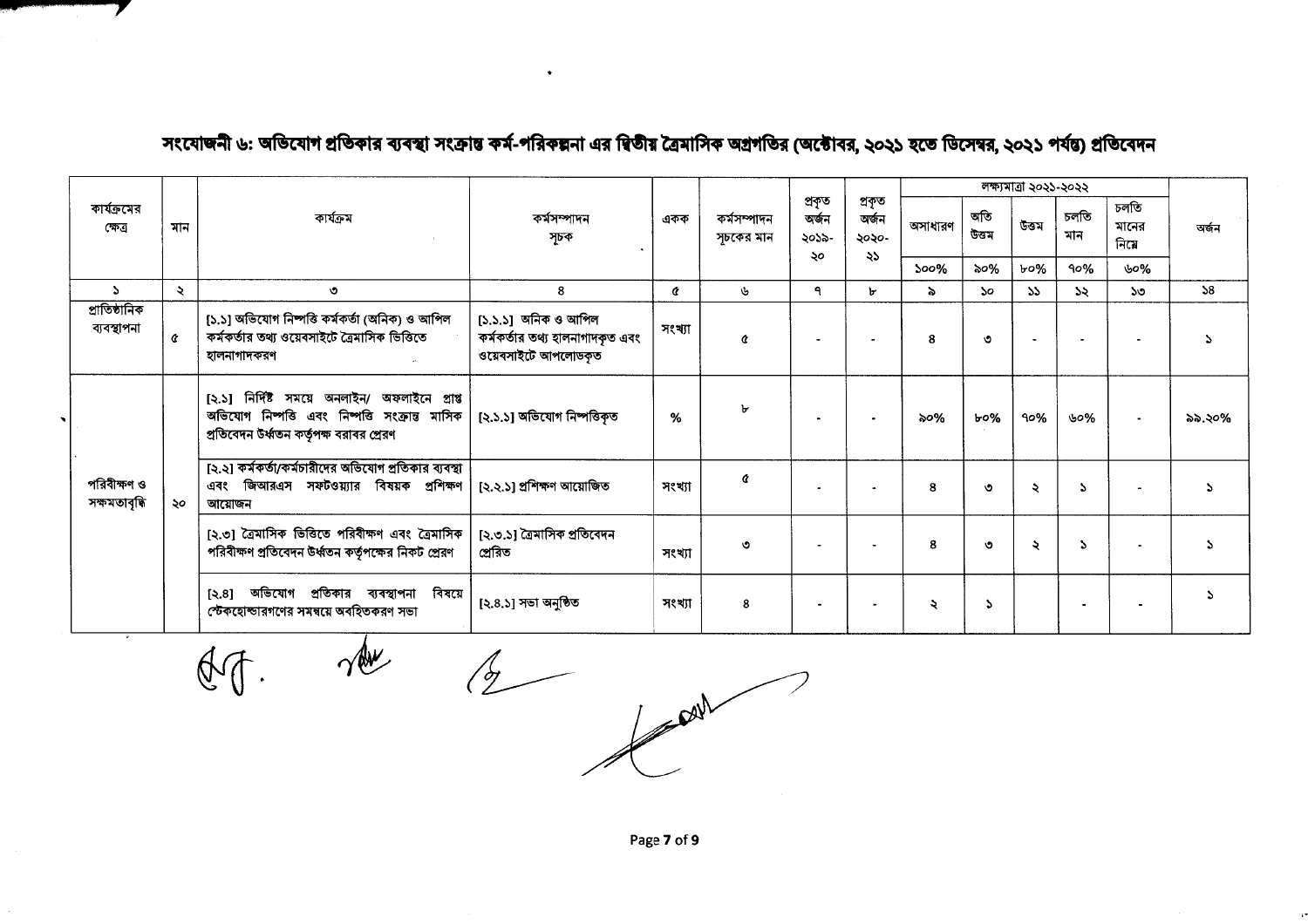|                              |     |                                                                                                                                              |                                                                               |        |                          |                                |                                |                      |              | লক্ষ্যমাত্ৰা ২০২১-২০২২ |                |                       |            |
|------------------------------|-----|----------------------------------------------------------------------------------------------------------------------------------------------|-------------------------------------------------------------------------------|--------|--------------------------|--------------------------------|--------------------------------|----------------------|--------------|------------------------|----------------|-----------------------|------------|
| কার্যক্রমের<br>ক্ষেত্ৰ       | মান | কাৰ্যক্ৰম                                                                                                                                    | কৰ্মসম্পাদন<br>একক<br>সূচক                                                    |        | কৰ্মসম্পাদন<br>সচকের মান | প্ৰকৃত<br>অৰ্জন<br>২০১৯-<br>২০ | প্ৰকৃত<br>অৰ্জন<br>২০২০-<br>২১ | অসাধারণ              | অতি<br>উত্তম | উত্তম                  | চলতি<br>মান    | চলতি<br>মানের<br>নিমে | অৰ্জন      |
|                              |     |                                                                                                                                              |                                                                               |        |                          |                                |                                | 500%                 | ৯০%          | ৮০%                    | 90%            | ৬০%                   |            |
| $\Delta$                     | ২   | ৩                                                                                                                                            | 8                                                                             | Q.     | ý,                       | ٩                              | 'n.                            | $\geq$               | No.          | 55                     | 55             | ১৩                    | $\Delta 8$ |
| প্ৰাতিষ্ঠানিক<br>ব্যবস্থাপনা | Ć   | [১.১] অভিযোগ নিষ্পত্তি কর্মকর্তা (অনিক) ও আপিল<br>কর্মকর্তার তথ্য ওয়েবসাইটে ত্রৈমাসিক ভিত্তিতে<br>হালনাগাদকরণ                               | [১.১.১] অনিক ও আপিল<br>কর্মকর্তার তথ্য হালনাগাদকৃত এবং<br>ওয়েবসাইটে আপলোডকৃত | সংখ্যা | Á                        |                                |                                | 8                    | O            |                        | $\blacksquare$ |                       |            |
|                              |     | [২.১] নির্দিষ্ট সময়ে অনলাইন/ অফলাইনে প্রাপ্ত<br>অভিযোগ নিষ্পত্তি এবং নিষ্পত্তি সংক্রান্ত মাসিক<br>প্রতিবেদন উর্ধ্বতন কর্তৃপক্ষ বরাবর প্রেরণ | [২.১.১] অভিযোগ নিষ্পত্তিকৃত                                                   | %      | ৮                        |                                |                                | ৯০%                  | ৮০%          | 90%                    | ৬০%            | $\blacksquare$        | ৯৯.২০%     |
| পরিবীক্ষণ ও<br>সক্ষমতাবৃদ্ধি | ২০  | [২.২] কর্মকর্তা/কর্মচারীদের অভিযোগ প্রতিকার ব্যবস্থা<br>এবং জিআরএস সফটওয়্যার বিষয়ক প্রশিক্ষণ<br>আয়োজন                                     | [২.২.১] প্ৰশিক্ষণ আয়োজিত                                                     | সংখ্যা | ¢                        | ۰.                             | $\blacksquare$                 | 8                    | ৩            | ২                      | $\Delta$       |                       |            |
|                              |     | [২.৩] ত্রৈমাসিক ভিত্তিতে পরিবীক্ষণ এবং ত্রৈমাসিক<br>পরিবীক্ষণ প্রতিবেদন উর্ধ্বতন কর্তৃপক্ষের নিকট প্রেরণ                                     | [২.৩.১] ত্রৈমাসিক প্রতিবেদন<br>প্ৰেরিত                                        | সংখ্যা | ৩                        |                                |                                | 8                    | $\circ$      | ২                      | А              |                       |            |
|                              |     | [২.৪] অভিযোগ প্রতিকার ব্যবস্থাপনা বিষয়ে<br>স্টেকহোল্ডারগণের সমন্বয়ে অবহিতকরণ সভা                                                           | [২.৪.১] সভা অনুষ্ঠিত                                                          | সংখ্যা | 8                        | $\bullet$                      | $\blacksquare$                 | $\ddot{\phantom{0}}$ |              |                        | $\blacksquare$ | $\blacksquare$        |            |

#### সংযোজনী ৬: অভিযোগ প্রতিকার ব্যবস্থা সংক্রান্ত কর্ম-পরিকল্পনা এর দ্বিতীয় ত্রৈমাসিক অগ্রগতির (অক্টোবর, ২০২১ হতে ডিসেম্বর, ২০২১ পর্যন্ত) প্রতিবেদন

 $\mathbb{Q}$ 

 $\gamma$ 

 $\frac{1}{2}$ 

**PAUL** 

Page 7 of 9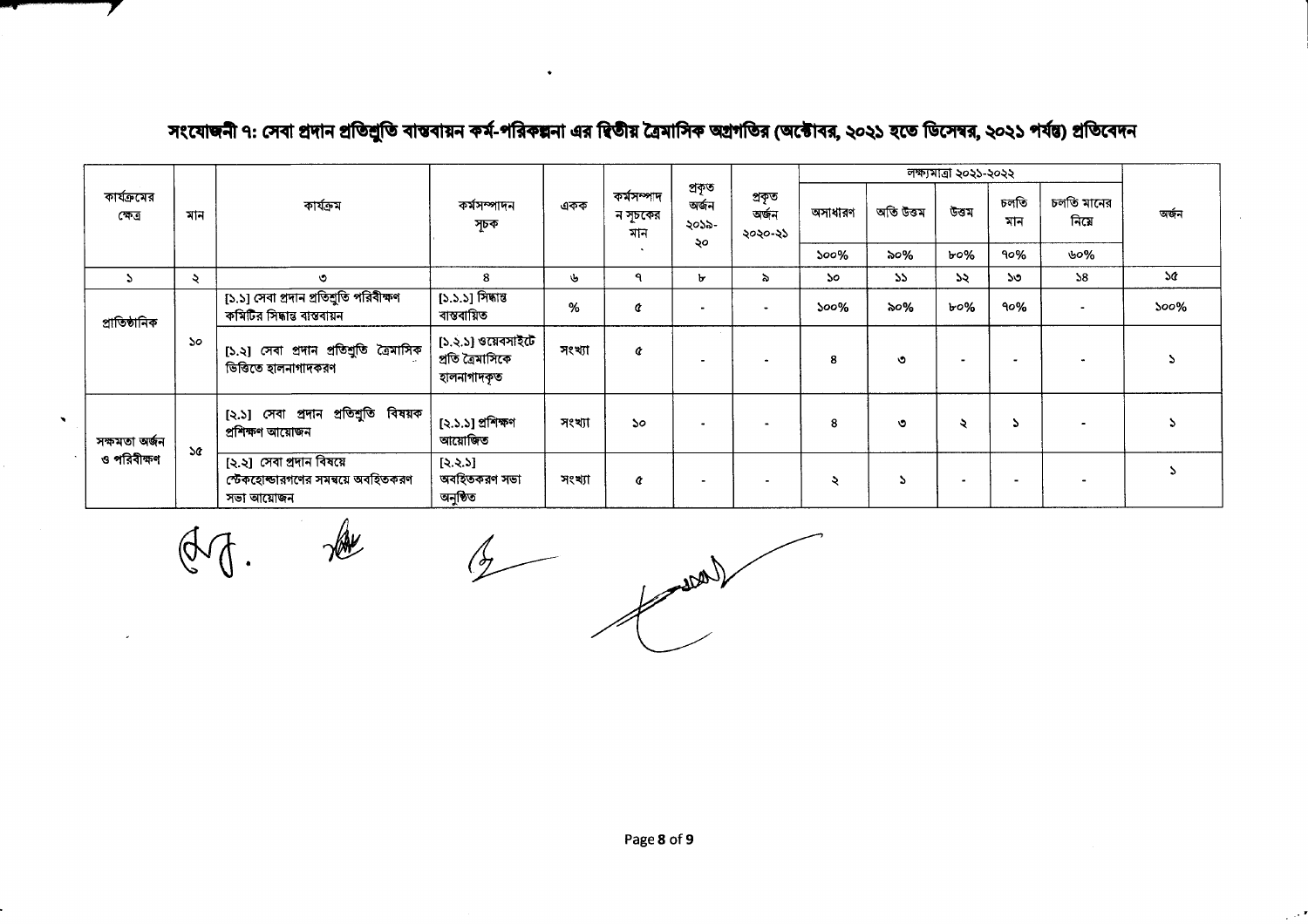|                        |               |                                                                              |                                                       |        |                               |                                |                            |         |            | লক্ষ্যমাত্ৰা ২০২১-২০২২ |                          |                    |           |
|------------------------|---------------|------------------------------------------------------------------------------|-------------------------------------------------------|--------|-------------------------------|--------------------------------|----------------------------|---------|------------|------------------------|--------------------------|--------------------|-----------|
| কার্যক্রমের<br>ক্ষেত্ৰ | মান           | কাৰ্যক্ৰম                                                                    | কৰ্মসম্পাদন<br>সূচক                                   | একক    | কৰ্মসম্পাদ<br>ন সূচকের<br>মান | প্ৰকৃত<br>অৰ্জন<br>২০১৯-<br>২০ | প্ৰকৃত<br>অৰ্জন<br>২০২০-২১ | অসাধারণ | অতি উত্তম  | উত্তম                  | চলতি<br>মান              | চলতি মানের<br>নিমে | অৰ্জন     |
|                        |               |                                                                              |                                                       |        | $\ddot{\phantom{1}}$          |                                |                            | 500%    | $\infty\%$ | ৮০%                    | 90%                      | ৬০%                |           |
|                        | ২             | $\circ$                                                                      | я                                                     | ىلى    | ٩                             | ъ                              | λ.                         | 5o      | $55 -$     | ১২                     | ১৩                       | 58                 | <b>SG</b> |
| প্ৰাতিষ্ঠানিক          |               | [১.১] সেবা প্রদান প্রতিশ্রুতি পরিবীক্ষণ<br>কমিটির সিদ্ধান্ত বাস্তবায়ন       | [১.১.১] সিদ্ধান্ত<br>বান্তবায়িত                      | %      | ¢                             |                                |                            | $500\%$ | ৯০%        | $b$ 0%                 | 90%                      |                    | $500\%$   |
|                        | 50            | [১.২] সেবা প্রদান প্রতিশ্রুতি ত্রৈমাসিক<br>ভিত্তিতে হালনাগাদকরণ              | [১.২.১] ওয়েবসাইটে<br>প্ৰতি ত্ৰৈমাসিকে<br>হালনাগাদকৃত | সংখ্যা | ¢                             |                                |                            | 8       | ৩          |                        |                          |                    |           |
| সক্ষমতা অৰ্জন          | $\mathcal{A}$ | [২.১] সেবা প্রদান প্রতিশ্রুতি বিষয়ক<br>প্ৰশিক্ষণ আয়োজন                     | [২.১.১] প্ৰশিক্ষণ<br>আয়োজিত                          | সংখ্যা | $\mathcal{S}^{\circ}$         |                                |                            | 8       | ৩          | ২                      |                          |                    |           |
| ও পরিবীক্ষণ            |               | [২.২] সেবা প্ৰদান বিষয়ে<br>স্টেকহোল্ডারগণের সমন্বয়ে অবহিতকরণ<br>সভা আয়োজন | [3.3.5]<br>অবহিতকরণ সভা<br>অনুষ্ঠিত                   | সংখ্যা | ¢                             |                                |                            | ২       |            |                        | $\overline{\phantom{0}}$ |                    |           |

## সংযোজনী ৭: সেবা প্রদান প্রতিশ্রুতি বাস্তবায়ন কর্ম-পরিকল্পনা এর দ্বিতীয় ত্রৈমাসিক অগ্রগতির (অক্টোবর, ২০২১ হতে ডিসেম্বর, ২০২১ পর্যন্ত) প্রতিবেদন

7

 $\oint$